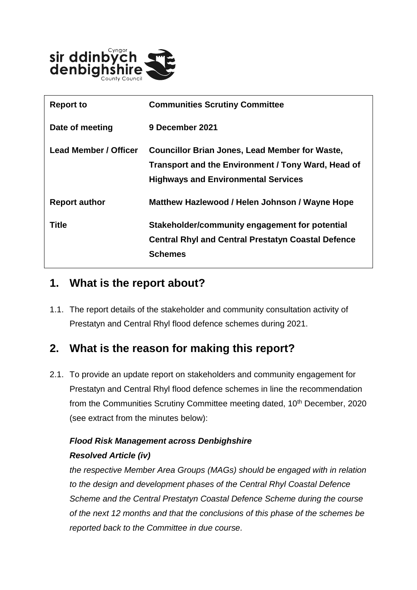

| <b>Report to</b>      | <b>Communities Scrutiny Committee</b>                     |
|-----------------------|-----------------------------------------------------------|
| Date of meeting       | 9 December 2021                                           |
| Lead Member / Officer | <b>Councillor Brian Jones, Lead Member for Waste,</b>     |
|                       | Transport and the Environment / Tony Ward, Head of        |
|                       | <b>Highways and Environmental Services</b>                |
| <b>Report author</b>  | Matthew Hazlewood / Helen Johnson / Wayne Hope            |
| Title                 | Stakeholder/community engagement for potential            |
|                       | <b>Central Rhyl and Central Prestatyn Coastal Defence</b> |
|                       | <b>Schemes</b>                                            |

## **1. What is the report about?**

1.1. The report details of the stakeholder and community consultation activity of Prestatyn and Central Rhyl flood defence schemes during 2021.

### **2. What is the reason for making this report?**

2.1. To provide an update report on stakeholders and community engagement for Prestatyn and Central Rhyl flood defence schemes in line the recommendation from the Communities Scrutiny Committee meeting dated, 10<sup>th</sup> December, 2020 (see extract from the minutes below):

#### *Flood Risk Management across Denbighshire Resolved Article (iv)*

*the respective Member Area Groups (MAGs) should be engaged with in relation to the design and development phases of the Central Rhyl Coastal Defence Scheme and the Central Prestatyn Coastal Defence Scheme during the course of the next 12 months and that the conclusions of this phase of the schemes be reported back to the Committee in due course.*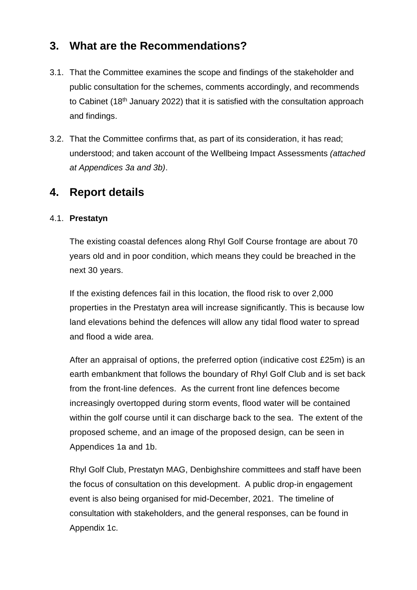# **3. What are the Recommendations?**

- 3.1. That the Committee examines the scope and findings of the stakeholder and public consultation for the schemes, comments accordingly, and recommends to Cabinet (18<sup>th</sup> January 2022) that it is satisfied with the consultation approach and findings.
- 3.2. That the Committee confirms that, as part of its consideration, it has read; understood; and taken account of the Wellbeing Impact Assessments *(attached at Appendices 3a and 3b)*.

### **4. Report details**

#### 4.1. **Prestatyn**

The existing coastal defences along Rhyl Golf Course frontage are about 70 years old and in poor condition, which means they could be breached in the next 30 years.

If the existing defences fail in this location, the flood risk to over 2,000 properties in the Prestatyn area will increase significantly. This is because low land elevations behind the defences will allow any tidal flood water to spread and flood a wide area.

After an appraisal of options, the preferred option (indicative cost £25m) is an earth embankment that follows the boundary of Rhyl Golf Club and is set back from the front-line defences. As the current front line defences become increasingly overtopped during storm events, flood water will be contained within the golf course until it can discharge back to the sea. The extent of the proposed scheme, and an image of the proposed design, can be seen in Appendices 1a and 1b.

Rhyl Golf Club, Prestatyn MAG, Denbighshire committees and staff have been the focus of consultation on this development. A public drop-in engagement event is also being organised for mid-December, 2021. The timeline of consultation with stakeholders, and the general responses, can be found in Appendix 1c.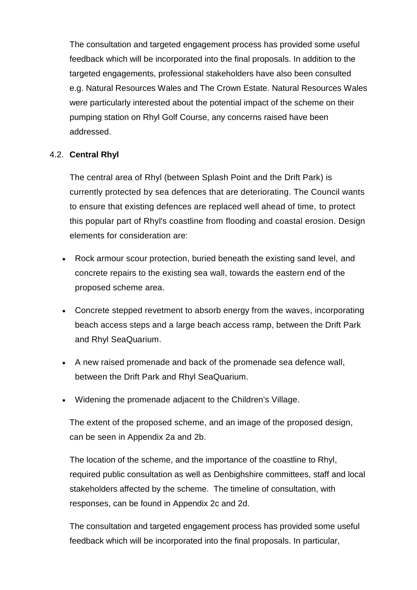The consultation and targeted engagement process has provided some useful feedback which will be incorporated into the final proposals. In addition to the targeted engagements, professional stakeholders have also been consulted e.g. Natural Resources Wales and The Crown Estate. Natural Resources Wales were particularly interested about the potential impact of the scheme on their pumping station on Rhyl Golf Course, any concerns raised have been addressed.

#### 4.2. **Central Rhyl**

The central area of Rhyl (between Splash Point and the Drift Park) is currently protected by sea defences that are deteriorating. The Council wants to ensure that existing defences are replaced well ahead of time, to protect this popular part of Rhyl's coastline from flooding and coastal erosion. Design elements for consideration are:

- Rock armour scour protection, buried beneath the existing sand level, and concrete repairs to the existing sea wall, towards the eastern end of the proposed scheme area.
- Concrete stepped revetment to absorb energy from the waves, incorporating beach access steps and a large beach access ramp, between the Drift Park and Rhyl SeaQuarium.
- A new raised promenade and back of the promenade sea defence wall, between the Drift Park and Rhyl SeaQuarium.
- Widening the promenade adjacent to the Children's Village.

The extent of the proposed scheme, and an image of the proposed design, can be seen in Appendix 2a and 2b.

The location of the scheme, and the importance of the coastline to Rhyl, required public consultation as well as Denbighshire committees, staff and local stakeholders affected by the scheme. The timeline of consultation, with responses, can be found in Appendix 2c and 2d.

The consultation and targeted engagement process has provided some useful feedback which will be incorporated into the final proposals. In particular,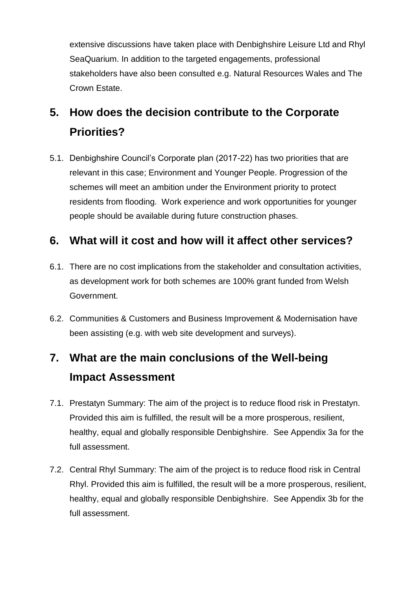extensive discussions have taken place with Denbighshire Leisure Ltd and Rhyl SeaQuarium. In addition to the targeted engagements, professional stakeholders have also been consulted e.g. Natural Resources Wales and The Crown Estate.

# **5. How does the decision contribute to the Corporate Priorities?**

5.1. Denbighshire Council's Corporate plan (2017-22) has two priorities that are relevant in this case; Environment and Younger People. Progression of the schemes will meet an ambition under the Environment priority to protect residents from flooding. Work experience and work opportunities for younger people should be available during future construction phases.

# **6. What will it cost and how will it affect other services?**

- 6.1. There are no cost implications from the stakeholder and consultation activities, as development work for both schemes are 100% grant funded from Welsh Government.
- 6.2. Communities & Customers and Business Improvement & Modernisation have been assisting (e.g. with web site development and surveys).

# **7. What are the main conclusions of the Well-being Impact Assessment**

- 7.1. Prestatyn Summary: The aim of the project is to reduce flood risk in Prestatyn. Provided this aim is fulfilled, the result will be a more prosperous, resilient, healthy, equal and globally responsible Denbighshire. See Appendix 3a for the full assessment.
- 7.2. Central Rhyl Summary: The aim of the project is to reduce flood risk in Central Rhyl. Provided this aim is fulfilled, the result will be a more prosperous, resilient, healthy, equal and globally responsible Denbighshire. See Appendix 3b for the full assessment.